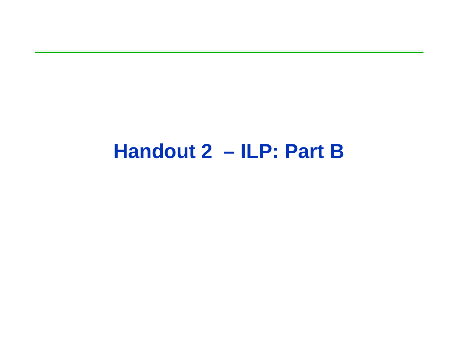#### **Handout 2 – ILP: Part B**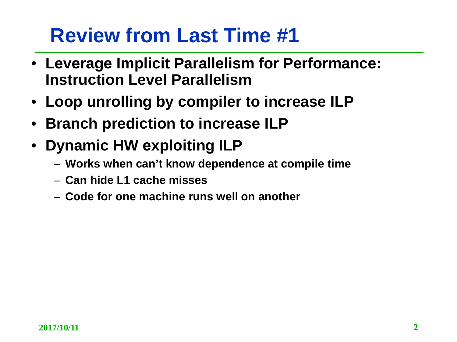## **Review from Last Time #1**

- **Leverage Implicit Parallelism for Performance: Instruction Level Parallelism**
- **Loop unrolling by compiler to increase ILP**
- **Branch prediction to increase ILP**
- **Dynamic HW exploiting ILP**
	- **Works when can't know dependence at compile time**
	- **Can hide L1 cache misses**
	- **Code for one machine runs well on another**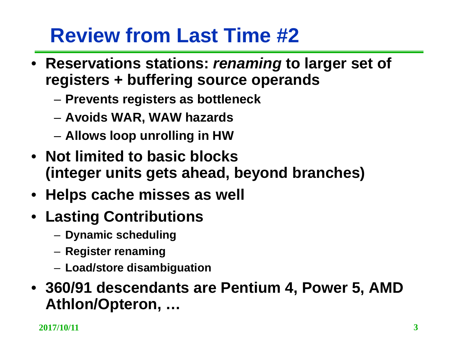# **Review from Last Time #2**

- **Reservations stations:** *renaming* **to larger set of registers + buffering source operands**
	- **Prevents registers as bottleneck**
	- **Avoids WAR, WAW hazards**
	- **Allows loop unrolling in HW**
- **Not limited to basic blocks (integer units gets ahead, beyond branches)**
- **Helps cache misses as well**
- **Lasting Contributions**
	- **Dynamic scheduling**
	- **Register renaming**
	- **Load/store disambiguation**
- **360/91 descendants are Pentium 4, Power 5, AMD Athlon/Opteron, …**

**2017/10/11 3**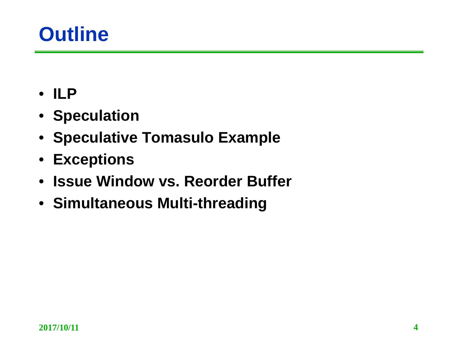#### **Outline**

- **ILP**
- **Speculation**
- **Speculative Tomasulo Example**
- **Exceptions**
- **Issue Window vs. Reorder Buffer**
- **Simultaneous Multi-threading**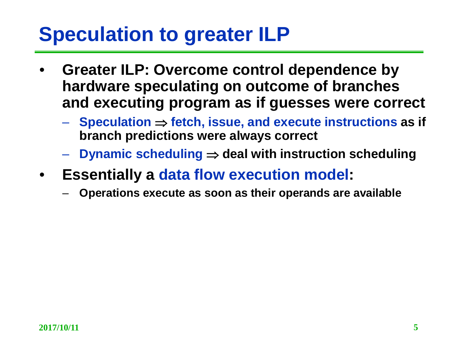## **Speculation to greater ILP**

- **Greater ILP: Overcome control dependence by hardware speculating on outcome of branches and executing program as if guesses were correct**
	- **Speculation** ⇒ **fetch, issue, and execute instructions as if branch predictions were always correct**
	- **Dynamic scheduling** ⇒ **deal with instruction scheduling**
- **Essentially a data flow execution model:**
	- **Operations execute as soon as their operands are available**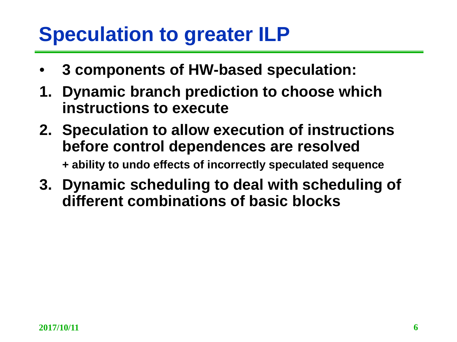## **Speculation to greater ILP**

- **3 components of HW-based speculation:**
- **1. Dynamic branch prediction to choose which instructions to execute**
- **2. Speculation to allow execution of instructions before control dependences are resolved + ability to undo effects of incorrectly speculated sequence**
- **3. Dynamic scheduling to deal with scheduling of different combinations of basic blocks**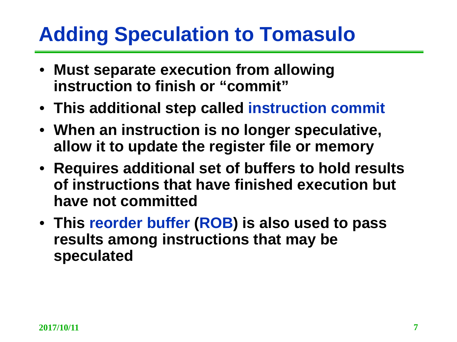# **Adding Speculation to Tomasulo**

- **Must separate execution from allowing instruction to finish or "commit"**
- **This additional step called instruction commit**
- **When an instruction is no longer speculative, allow it to update the register file or memory**
- **Requires additional set of buffers to hold results of instructions that have finished execution but have not committed**
- **This reorder buffer (ROB) is also used to pass results among instructions that may be speculated**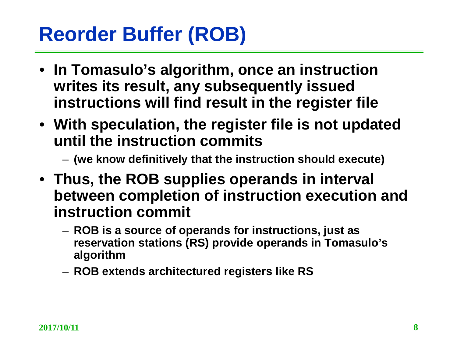# **Reorder Buffer (ROB)**

- **In Tomasulo's algorithm, once an instruction writes its result, any subsequently issued instructions will find result in the register file**
- **With speculation, the register file is not updated until the instruction commits** 
	- **(we know definitively that the instruction should execute)**
- **Thus, the ROB supplies operands in interval between completion of instruction execution and instruction commit**
	- **ROB is a source of operands for instructions, just as reservation stations (RS) provide operands in Tomasulo's algorithm**
	- **ROB extends architectured registers like RS**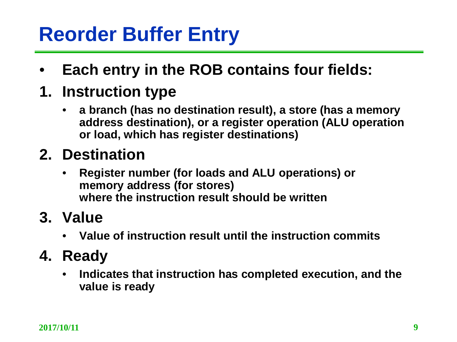# **Reorder Buffer Entry**

- **Each entry in the ROB contains four fields:**
- **1. Instruction type** 
	- **a branch (has no destination result), a store (has a memory address destination), or a register operation (ALU operation or load, which has register destinations)**

#### **2. Destination**

- **Register number (for loads and ALU operations) or memory address (for stores) where the instruction result should be written**
- **3. Value**
	- **Value of instruction result until the instruction commits**
- **4. Ready**
	- **Indicates that instruction has completed execution, and the value is ready**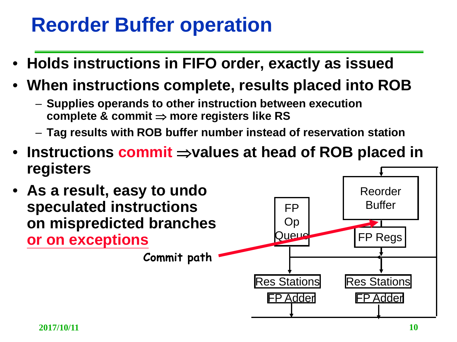## **Reorder Buffer operation**

- **Holds instructions in FIFO order, exactly as issued**
- **When instructions complete, results placed into ROB**
	- **Supplies operands to other instruction between execution complete & commit** ⇒ **more registers like RS**
	- **Tag results with ROB buffer number instead of reservation station**
- **Instructions commit** ⇒**values at head of ROB placed in registers**
- **As a result, easy to undo speculated instructions on mispredicted branches or on exceptions**

**Commit path**

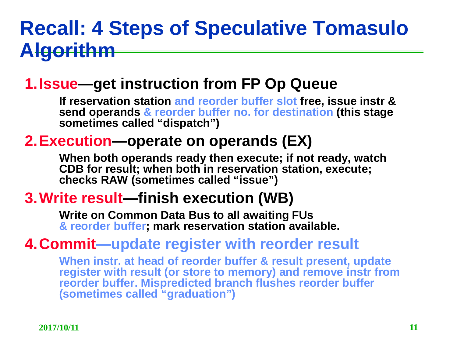#### **Recall: 4 Steps of Speculative Tomasulo Algorithm**

#### **1.Issue—get instruction from FP Op Queue**

**If reservation station and reorder buffer slot free, issue instr & send operands & reorder buffer no. for destination (this stage sometimes called "dispatch")**

#### **2.Execution—operate on operands (EX)**

**When both operands ready then execute; if not ready, watch CDB for result; when both in reservation station, execute; checks RAW (sometimes called "issue")**

#### **3.Write result—finish execution (WB)**

**Write on Common Data Bus to all awaiting FUs & reorder buffer; mark reservation station available.**

#### **4.Commit—update register with reorder result**

**When instr. at head of reorder buffer & result present, update register with result (or store to memory) and remove instr from reorder buffer. Mispredicted branch flushes reorder buffer (sometimes called "graduation")**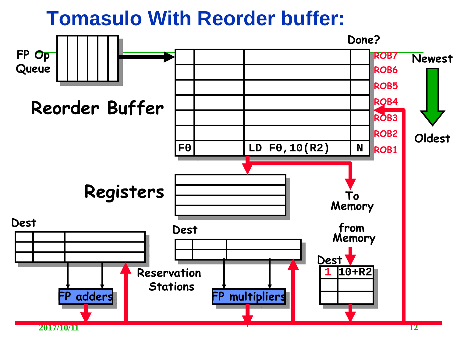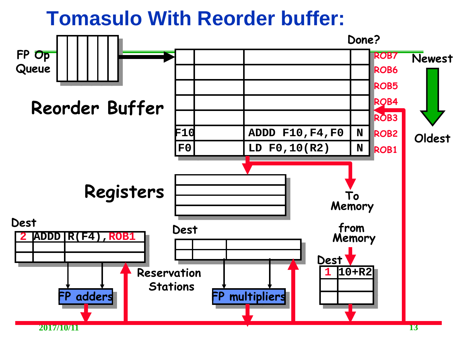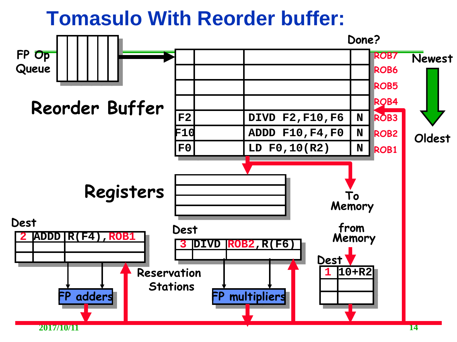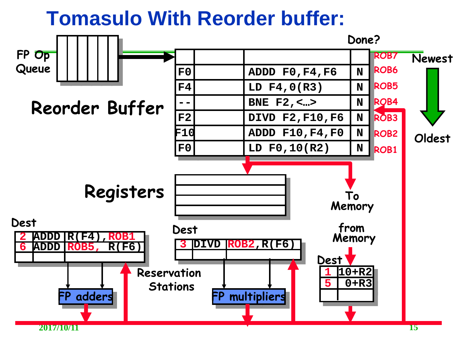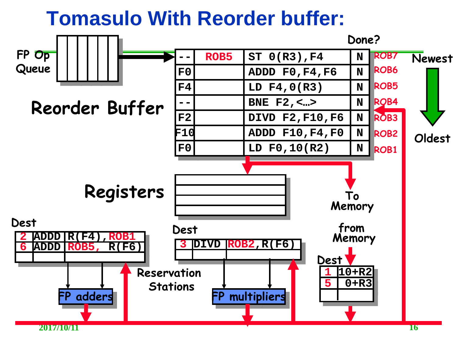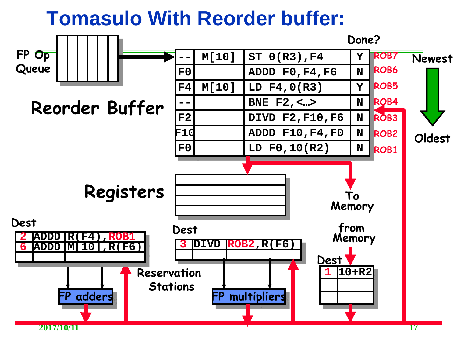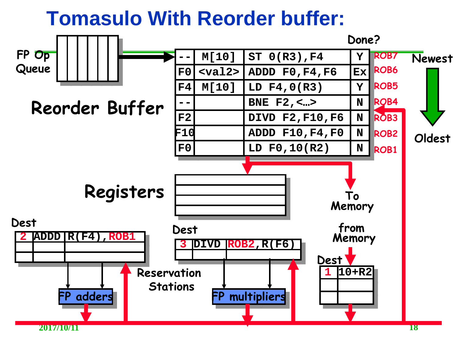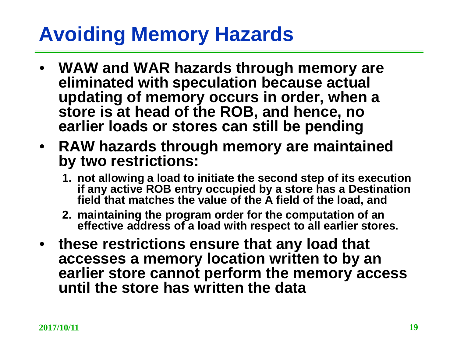## **Avoiding Memory Hazards**

- **WAW and WAR hazards through memory are eliminated with speculation because actual updating of memory occurs in order, when a store is at head of the ROB, and hence, no earlier loads or stores can still be pending**
- **RAW hazards through memory are maintained by two restrictions:** 
	- **1. not allowing a load to initiate the second step of its execution if any active ROB entry occupied by a store has a Destination field that matches the value of the A field of the load, and**
	- **2. maintaining the program order for the computation of an effective address of a load with respect to all earlier stores.**
- **these restrictions ensure that any load that accesses a memory location written to by an earlier store cannot perform the memory access until the store has written the data**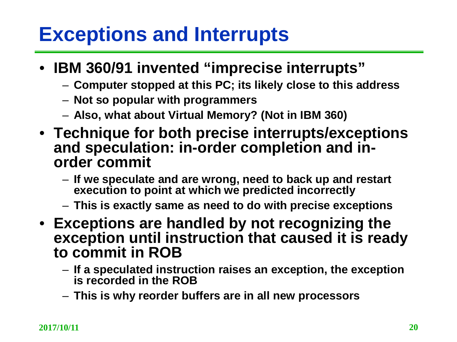#### **Exceptions and Interrupts**

- **IBM 360/91 invented "imprecise interrupts"**
	- **Computer stopped at this PC; its likely close to this address**
	- **Not so popular with programmers**
	- **Also, what about Virtual Memory? (Not in IBM 360)**
- **Technique for both precise interrupts/exceptions and speculation: in-order completion and in- order commit**
	- **If we speculate and are wrong, need to back up and restart execution to point at which we predicted incorrectly**
	- **This is exactly same as need to do with precise exceptions**
- **Exceptions are handled by not recognizing the exception until instruction that caused it is ready to commit in ROB**
	- **If a speculated instruction raises an exception, the exception is recorded in the ROB**
	- **This is why reorder buffers are in all new processors**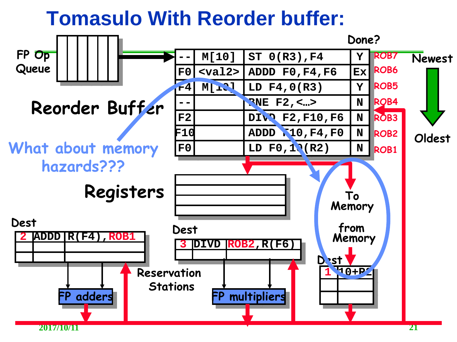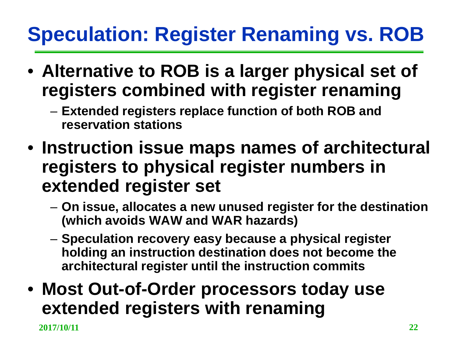# **Speculation: Register Renaming vs. ROB**

- **Alternative to ROB is a larger physical set of registers combined with register renaming**
	- **Extended registers replace function of both ROB and reservation stations**
- **Instruction issue maps names of architectural registers to physical register numbers in extended register set**
	- **On issue, allocates a new unused register for the destination (which avoids WAW and WAR hazards)**
	- **Speculation recovery easy because a physical register holding an instruction destination does not become the architectural register until the instruction commits**
- **Most Out-of-Order processors today use extended registers with renaming**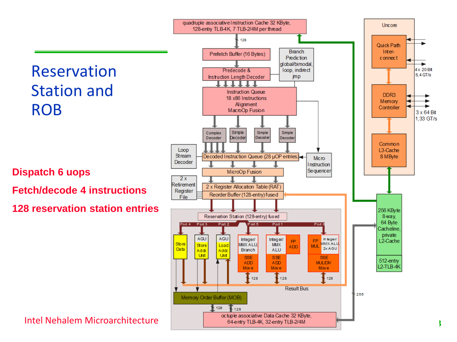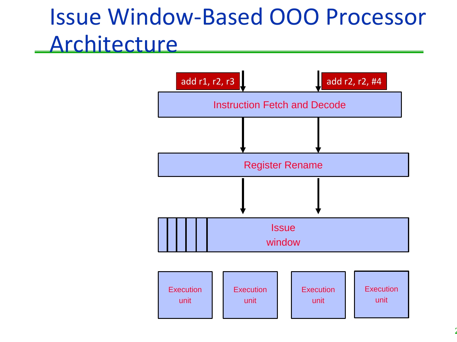# Issue Window-Based OOO Processor **Architecture**

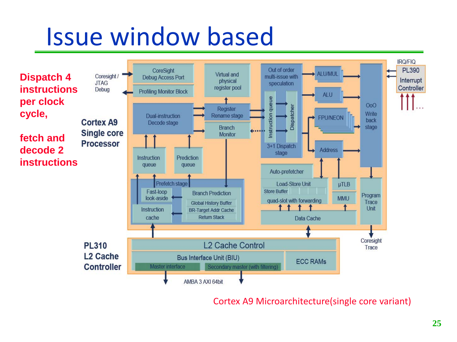# Issue window based



#### Cortex A9 Microarchitecture(single core variant)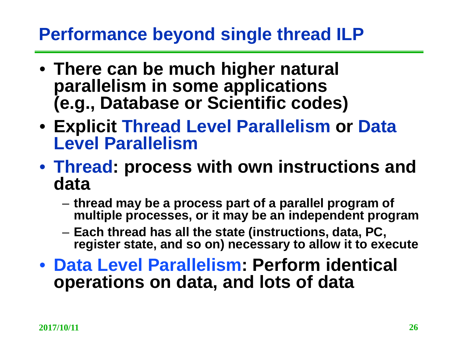#### **Performance beyond single thread ILP**

- **There can be much higher natural parallelism in some applications (e.g., Database or Scientific codes)**
- **Explicit Thread Level Parallelism or Data Level Parallelism**
- **Thread: process with own instructions and data**
	- **thread may be a process part of a parallel program of multiple processes, or it may be an independent program**
	- **Each thread has all the state (instructions, data, PC, register state, and so on) necessary to allow it to execute**
- **Data Level Parallelism: Perform identical operations on data, and lots of data**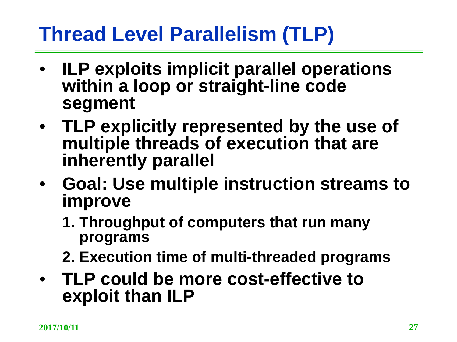# **Thread Level Parallelism (TLP)**

- **ILP exploits implicit parallel operations within a loop or straight-line code segment**
- **TLP explicitly represented by the use of multiple threads of execution that are inherently parallel**
- **Goal: Use multiple instruction streams to improve** 
	- **1. Throughput of computers that run many programs**
	- **2. Execution time of multi-threaded programs**
- **TLP could be more cost-effective to exploit than ILP**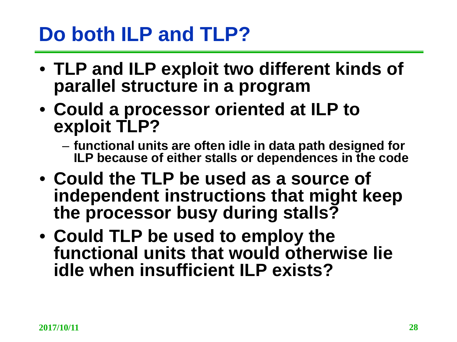### **Do both ILP and TLP?**

- **TLP and ILP exploit two different kinds of parallel structure in a program**
- **Could a processor oriented at ILP to exploit TLP?**
	- **functional units are often idle in data path designed for ILP because of either stalls or dependences in the code**
- **Could the TLP be used as a source of independent instructions that might keep the processor busy during stalls?**
- **Could TLP be used to employ the functional units that would otherwise lie idle when insufficient ILP exists?**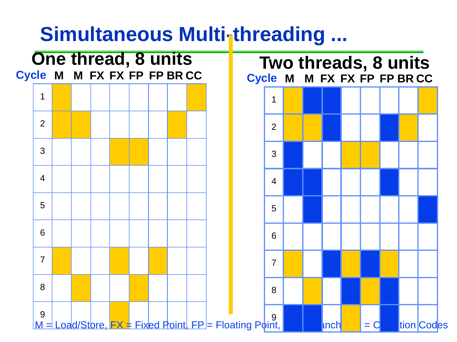#### **Simultaneous Multi-threading ...**

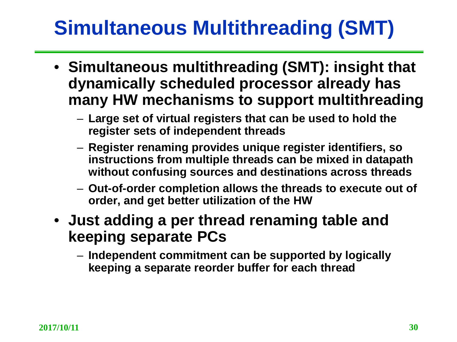# **Simultaneous Multithreading (SMT)**

- **Simultaneous multithreading (SMT): insight that dynamically scheduled processor already has many HW mechanisms to support multithreading**
	- **Large set of virtual registers that can be used to hold the register sets of independent threads**
	- **Register renaming provides unique register identifiers, so instructions from multiple threads can be mixed in datapath without confusing sources and destinations across threads**
	- **Out-of-order completion allows the threads to execute out of order, and get better utilization of the HW**
- **Just adding a per thread renaming table and keeping separate PCs**
	- **Independent commitment can be supported by logically keeping a separate reorder buffer for each thread**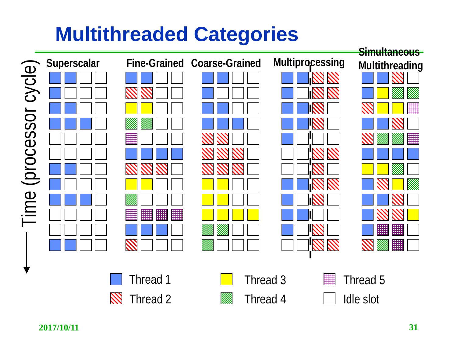# **Multithreaded Categories**

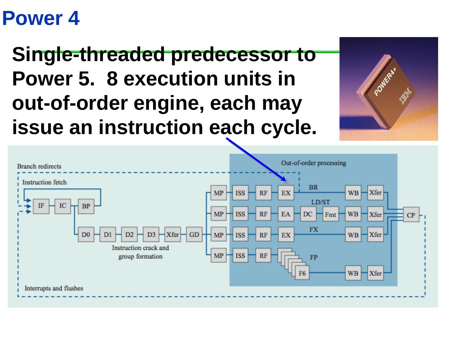#### **Power 4**

# **Single-threaded predecessor to Power 5. 8 execution units in out-of-order engine, each may issue an instruction each cycle.**



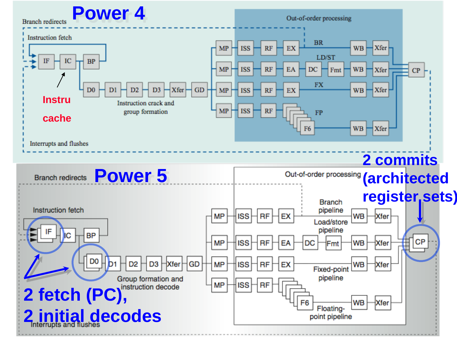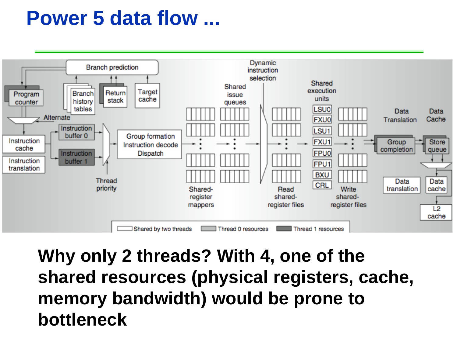#### **Power 5 data flow ...**



**Why only 2 threads? With 4, one of the shared resources (physical registers, cache, memory bandwidth) would be prone to bottleneck**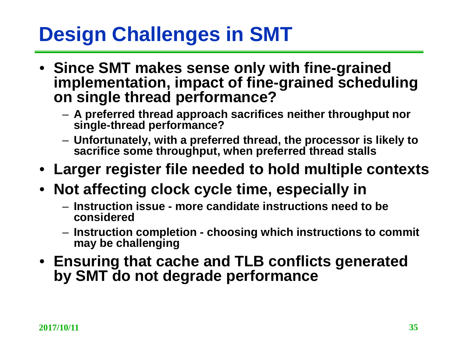# **Design Challenges in SMT**

- **Since SMT makes sense only with fine-grained implementation, impact of fine-grained scheduling on single thread performance?**
	- **A preferred thread approach sacrifices neither throughput nor single-thread performance?**
	- **Unfortunately, with a preferred thread, the processor is likely to sacrifice some throughput, when preferred thread stalls**
- **Larger register file needed to hold multiple contexts**
- **Not affecting clock cycle time, especially in** 
	- **Instruction issue - more candidate instructions need to be considered**
	- **Instruction completion - choosing which instructions to commit may be challenging**
- **Ensuring that cache and TLB conflicts generated by SMT do not degrade performance**